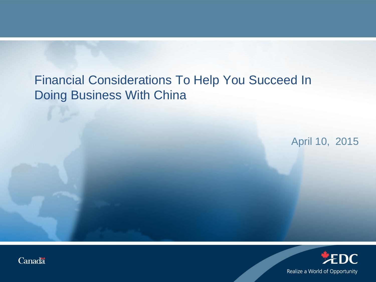# Financial Considerations To Help You Succeed In Doing Business With China

April 10, 2015



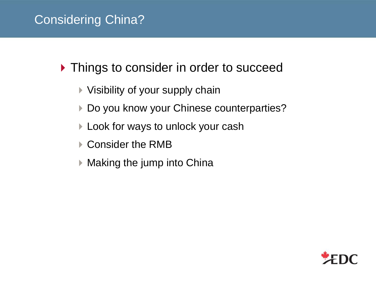## Considering China?

- **Things to consider in order to succeed** 
	- ▶ Visibility of your supply chain
	- Do you know your Chinese counterparties?
	- **Look for ways to unlock your cash**
	- **▶ Consider the RMB**
	- ▶ Making the jump into China

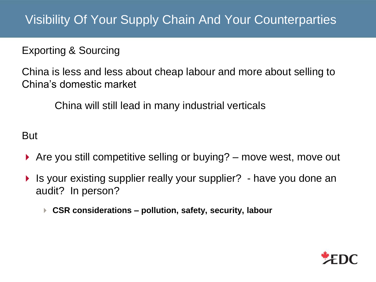# Visibility Of Your Supply Chain And Your Counterparties

Exporting & Sourcing

China is less and less about cheap labour and more about selling to China's domestic market

China will still lead in many industrial verticals

But

- ▶ Are you still competitive selling or buying? move west, move out
- If Is your existing supplier really your supplier? have you done an audit? In person?
	- **CSR considerations – pollution, safety, security, labour**

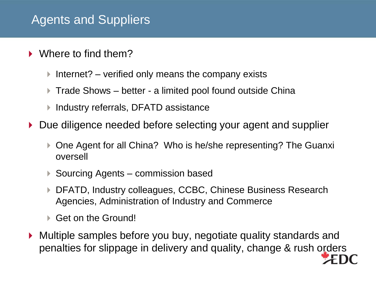### Agents and Suppliers

- Where to find them?
	- Internet? verified only means the company exists
	- ▶ Trade Shows better a limited pool found outside China
	- ▶ Industry referrals, DFATD assistance
- ▶ Due diligence needed before selecting your agent and supplier
	- ▶ One Agent for all China? Who is he/she representing? The Guanxi oversell
	- ▶ Sourcing Agents commission based
	- ▶ DFATD, Industry colleagues, CCBC, Chinese Business Research Agencies, Administration of Industry and Commerce
	- ▶ Get on the Ground!
- Multiple samples before you buy, negotiate quality standards and penalties for slippage in delivery and quality, change & rush orders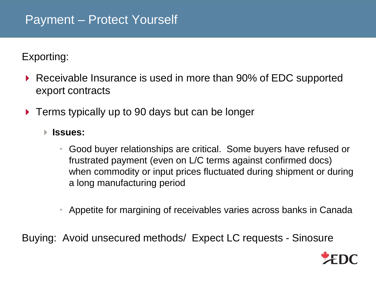### Payment – Protect Yourself

Exporting:

- ▶ Receivable Insurance is used in more than 90% of EDC supported export contracts
- ▶ Terms typically up to 90 days but can be longer
	- **Issues:** 
		- Good buyer relationships are critical. Some buyers have refused or frustrated payment (even on L/C terms against confirmed docs) when commodity or input prices fluctuated during shipment or during a long manufacturing period
		- Appetite for margining of receivables varies across banks in Canada

Buying: Avoid unsecured methods/ Expect LC requests - Sinosure

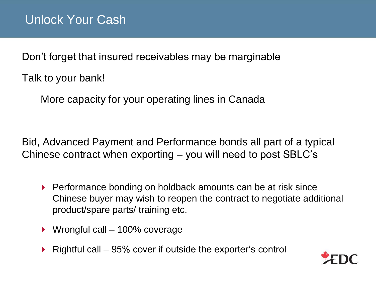Don't forget that insured receivables may be marginable

Talk to your bank!

More capacity for your operating lines in Canada

Bid, Advanced Payment and Performance bonds all part of a typical Chinese contract when exporting – you will need to post SBLC's

- ▶ Performance bonding on holdback amounts can be at risk since Chinese buyer may wish to reopen the contract to negotiate additional product/spare parts/ training etc.
- ▶ Wrongful call 100% coverage
- $\triangleright$  Rightful call 95% cover if outside the exporter's control

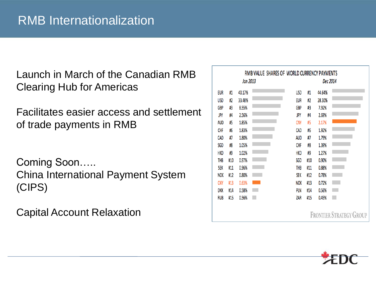Launch in March of the Canadian RMB Clearing Hub for Americas

Facilitates easier access and settlement of trade payments in RMB

Coming Soon….. China International Payment System (CIPS)

Capital Account Relaxation

| RMB VALUE SHARES OF WORLD CURRENCY PAYMENTS<br>Jan 2013 |     |        |    |            |     |        | Dec 2014         |  |
|---------------------------------------------------------|-----|--------|----|------------|-----|--------|------------------|--|
| <b>EUR</b>                                              | #1  | 40.17% |    | <b>USD</b> | #1  | 44.64% |                  |  |
| <b>USD</b>                                              | #2  | 33.48% |    | <b>EUR</b> | #2  | 28.30% |                  |  |
| <b>GBP</b>                                              | #3  | 8.55%  |    | <b>GBP</b> | #3  | 7.92%  |                  |  |
| JPY                                                     | #4  | 2.56%  |    | JPY        | #4  | 2.69%  |                  |  |
| <b>AUD</b>                                              | #5  | 1.85%  |    | <b>CNY</b> | #5  | 2.17%  |                  |  |
| CHF                                                     | #6  | 1.83%  |    | CAD        | #6  | 1.92%  |                  |  |
| CAD                                                     | #7  | 1.80%  |    | <b>AUD</b> | #7  | 1.79%  |                  |  |
| SGD                                                     | #8  | 1.05%  |    | <b>CHF</b> | #8  | 1.39%  |                  |  |
| HKD                                                     | #9  | 1.02%  |    | <b>HKD</b> | #9  | 1.27%  |                  |  |
| <b>THB</b>                                              | #10 | 0.97%  |    | SGD        | #10 | 0.90%  |                  |  |
| SEK                                                     | #11 | 0.96%  |    | <b>THB</b> | #11 | 0.88%  |                  |  |
| <b>NOK</b>                                              | #12 | 0.80%  |    | <b>SEK</b> | #12 | 0.78%  |                  |  |
| <b>CNY</b>                                              | #13 | 0.63%  |    | NOK        | #13 | 0.72%  |                  |  |
| DKK                                                     | #14 | 0.58%  |    | pln        | #14 | 0.56%  | <b>The State</b> |  |
| <b>RUB</b>                                              | #15 | 0.56%  | m. | ZAR        | #15 | 0.45%  | m.               |  |
| FRONTIER STRATEGY GROUP                                 |     |        |    |            |     |        |                  |  |

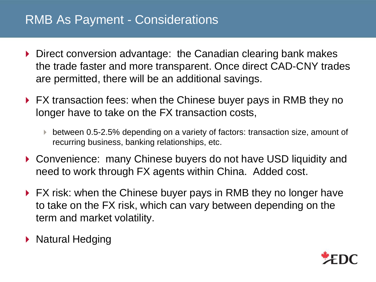#### RMB As Payment - Considerations

- Direct conversion advantage: the Canadian clearing bank makes the trade faster and more transparent. Once direct CAD-CNY trades are permitted, there will be an additional savings.
- ▶ FX transaction fees: when the Chinese buyer pays in RMB they no longer have to take on the FX transaction costs,
	- ▶ between 0.5-2.5% depending on a variety of factors: transaction size, amount of recurring business, banking relationships, etc.
- ▶ Convenience: many Chinese buyers do not have USD liquidity and need to work through FX agents within China. Added cost.
- ▶ FX risk: when the Chinese buyer pays in RMB they no longer have to take on the FX risk, which can vary between depending on the term and market volatility.
- **Natural Hedging**

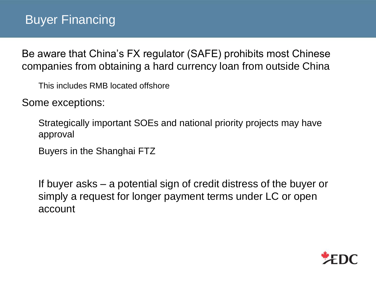Be aware that China's FX regulator (SAFE) prohibits most Chinese companies from obtaining a hard currency loan from outside China

This includes RMB located offshore

Some exceptions:

Strategically important SOEs and national priority projects may have approval

Buyers in the Shanghai FTZ

If buyer asks – a potential sign of credit distress of the buyer or simply a request for longer payment terms under LC or open account

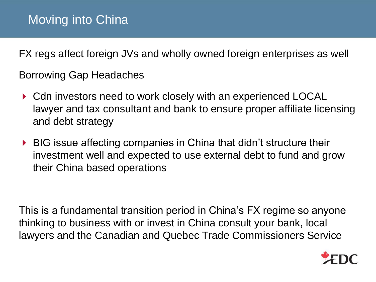FX regs affect foreign JVs and wholly owned foreign enterprises as well Borrowing Gap Headaches

- ▶ Cdn investors need to work closely with an experienced LOCAL lawyer and tax consultant and bank to ensure proper affiliate licensing and debt strategy
- ▶ BIG issue affecting companies in China that didn't structure their investment well and expected to use external debt to fund and grow their China based operations

This is a fundamental transition period in China's FX regime so anyone thinking to business with or invest in China consult your bank, local lawyers and the Canadian and Quebec Trade Commissioners Service